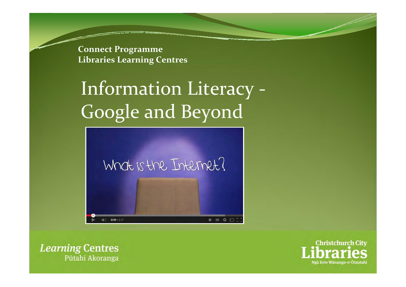**Connect Programme Libraries Learning Centres**

## Information Literacy ‐ Google and Beyond



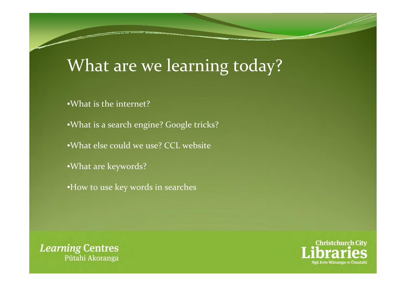### What are we learning today?

- •What is the internet?
- •What is a search engine? Google tricks?
- •What else could we use? CCL website
- •What are keywords?
- •How to use key words in searches



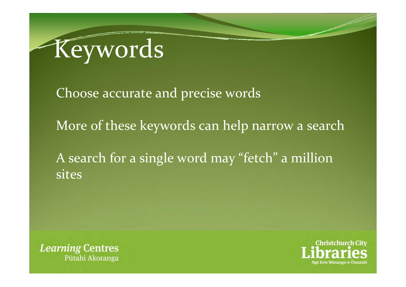

Choose accurate and precise words

More of these keywords can help narrow <sup>a</sup> search

A search for <sup>a</sup> single word may "fetch" <sup>a</sup> million sites



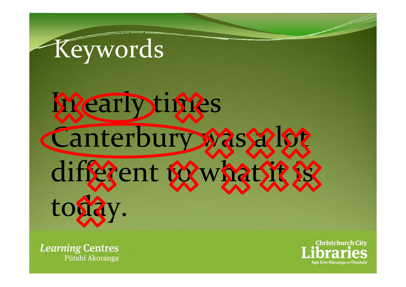# Keywords

# **Mearlytimes** Canterbury was salst diffgent to what it is tosi

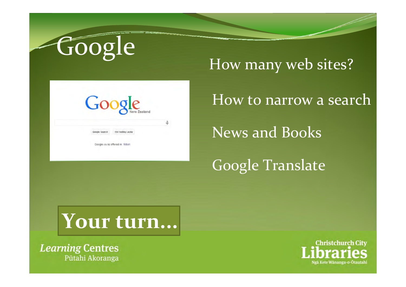

How many web sites?



How to narrow <sup>a</sup> search

News and Books

Google Translate

## **Your turn...**

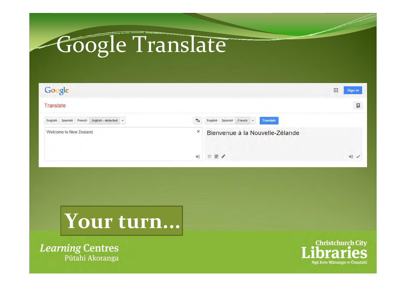# Google Translate

| Google                                         | m<br>Sign in                                 |
|------------------------------------------------|----------------------------------------------|
| Translate                                      | E                                            |
| English - detected -<br>English Spanish French | English Spanish French -<br><b>Translate</b> |
| ×<br>Welcome to New Zealand                    | Bienvenue à la Nouvelle-Zélande              |
|                                                | 立言ノ<br>40 /                                  |



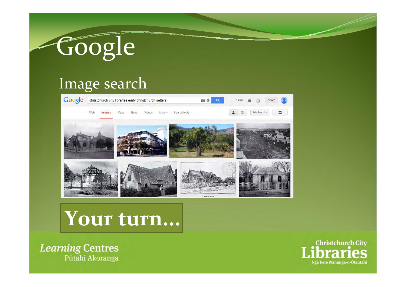# Google

### Image search



## **Your turn...**

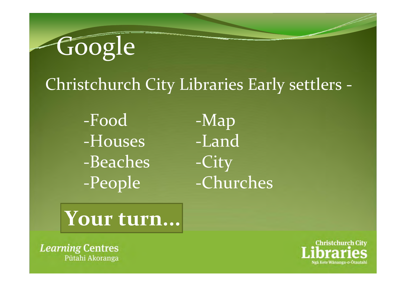Google

### Christchurch City Libraries Early settlers ‐

‐Food ‐Houses ‐Beaches ‐People

‐Map ‐Land ‐City ‐Churches

**Your turn...**

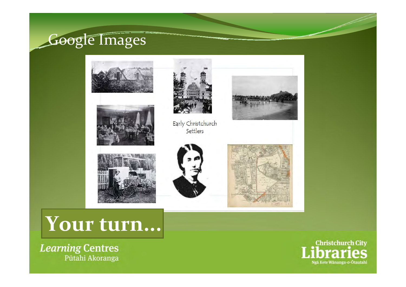#### Google Images









Early Christchurch Settlers





### **Your turn...**

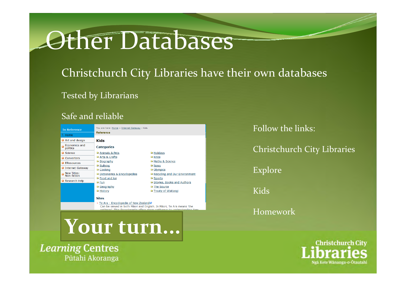## Other Databases

#### Christchurch City Libraries have their own databases

Tested by Librarians

#### Safe and reliable



+ Te Ara - Encyclopedia of New Zealand& Can be viewed in both Maori and English. In Maori, Te Ara means 'the thway! This Encyclonadia offers many nath

**Your turn...**

**Learning Centres** Pūtahi Akoranga

Follow the links:

Christchurch City Libraries

Explore

Kids

Homework

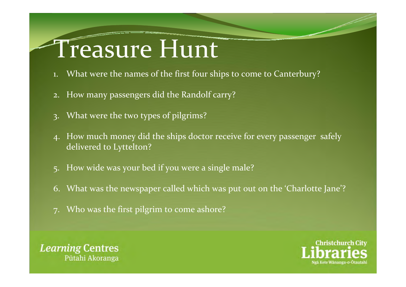# Treasure Hunt

- 1. What were the names of the first four ships to come to Canterbury?
- 2. How many passengers did the Randolf carry?
- 3. What were the two types of pilgrims?
- 4. How much money did the ships doctor receive for every passenger safely delivered to Lyttelton?
- 5. How wide was your bed if you were <sup>a</sup> single male?
- 6. What was the newspaper called which was pu<sup>t</sup> out on the 'Charlotte Jane'?
- Who was the first pilgrim to come ashore?



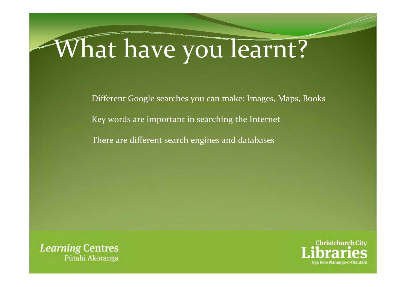# What have you learnt?

Different Google searches you can make: Images, Maps, Books

Key words are important in searching the Internet

There are different search engines and databases



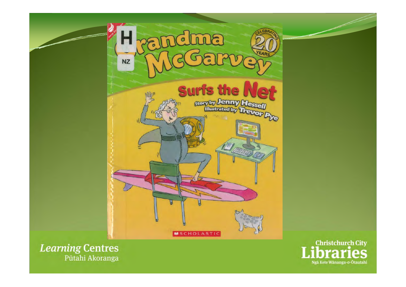

Pūtahi Akoranga

Ngā Kete Wānanga-o-Ōtautahi